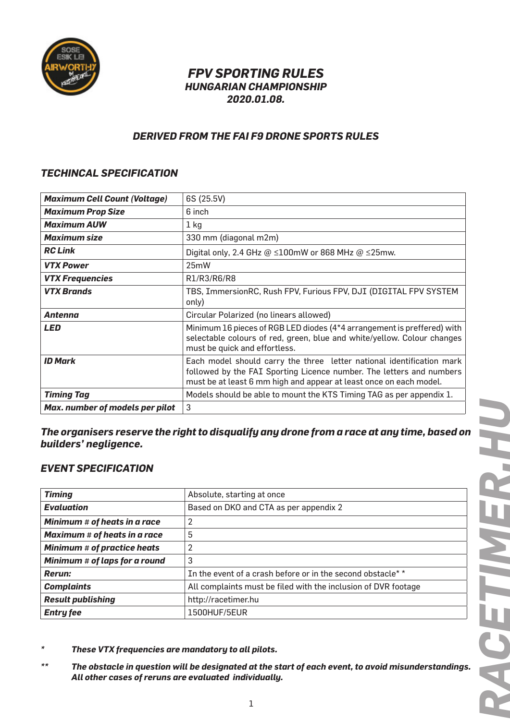

# *FPV SPORTING RULES HUNGARIAN CHAMPIONSHIP 2020.01.08.*

### *DERIVED FROM THE FAI F9 DRONE SPORTS RULES*

### *TECHINCAL SPECIFICATION*

| <b>Maximum Cell Count (Voltage)</b> | 6S (25.5V)                                                                                                                                                                                                          |
|-------------------------------------|---------------------------------------------------------------------------------------------------------------------------------------------------------------------------------------------------------------------|
| <b>Maximum Prop Size</b>            | 6 inch                                                                                                                                                                                                              |
| <b>Maximum AUW</b>                  | $1$ kg                                                                                                                                                                                                              |
| Maximum size                        | 330 mm (diagonal m2m)                                                                                                                                                                                               |
| <b>RC Link</b>                      | Digital only, 2.4 GHz $@ \leq 100$ mW or 868 MHz $@ \leq 25$ mw.                                                                                                                                                    |
| <b>VTX Power</b>                    | 25mW                                                                                                                                                                                                                |
| <b>VTX Frequencies</b>              | R1/R3/R6/R8                                                                                                                                                                                                         |
| <b>VTX Brands</b>                   | TBS, ImmersionRC, Rush FPV, Furious FPV, DJI (DIGITAL FPV SYSTEM<br>only)                                                                                                                                           |
| <b>Antenna</b>                      | Circular Polarized (no linears allowed)                                                                                                                                                                             |
| LED                                 | Minimum 16 pieces of RGB LED diodes (4*4 arrangement is preffered) with<br>selectable colours of red, green, blue and white/yellow. Colour changes<br>must be quick and effortless.                                 |
| <b>ID Mark</b>                      | Each model should carry the three letter national identification mark<br>followed by the FAI Sporting Licence number. The letters and numbers<br>must be at least 6 mm high and appear at least once on each model. |
| <b>Timing Tag</b>                   | Models should be able to mount the KTS Timing TAG as per appendix 1.                                                                                                                                                |
| Max. number of models per pilot     | 3                                                                                                                                                                                                                   |

*The organisers reserve the right to disqualify any drone from a race at any time, based on builders' negligence.*

### *EVENT SPECIFICATION*

| <b>Timing</b>                       | Absolute, starting at once                                              |
|-------------------------------------|-------------------------------------------------------------------------|
| Evaluation                          | Based on DKO and CTA as per appendix 2                                  |
| Minimum # of heats in a race        | 2                                                                       |
| <b>Maximum # of heats in a race</b> | 5                                                                       |
| <b>Minimum # of practice heats</b>  | 2                                                                       |
| Minimum # of laps for a round       | 3                                                                       |
| <b>Rerun:</b>                       | In the event of a crash before or in the second obstacle <sup>*</sup> * |
| <b>Complaints</b>                   | All complaints must be filed with the inclusion of DVR footage          |
| <b>Result publishing</b>            | http://racetimer.hu                                                     |
| <b>Entry fee</b>                    | 1500HUF/5EUR                                                            |

*\* These VTX frequencies are mandatory to all pilots.* 

*\*\* The obstacle in question will be designated at the start of each event, to avoid misunderstandings. All other cases of reruns are evaluated individually.*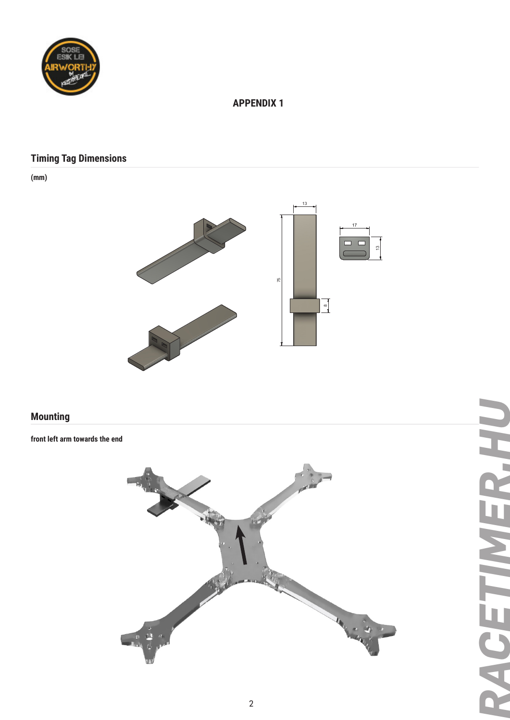

# **APPENDIX 1**

 $\overline{\phantom{a}}$  3  $\overline{\phantom{a}}$  3  $\overline{\phantom{a}}$  3  $\overline{\phantom{a}}$  3  $\overline{\phantom{a}}$  3  $\overline{\phantom{a}}$  3  $\overline{\phantom{a}}$  3  $\overline{\phantom{a}}$  3  $\overline{\phantom{a}}$  3  $\overline{\phantom{a}}$  3  $\overline{\phantom{a}}$  3  $\overline{\phantom{a}}$  3  $\overline{\phantom{a}}$  3  $\overline{\phantom{a}}$  3  $\overline{\phantom{a}}$  3  $\overline{\phantom{a}}$ 

# **Timing Tag Dimensions**

1

**(mm)**



## **Mounting**

**front left arm towards the end**



# *RACETIMER.HU*RACETIMER.HU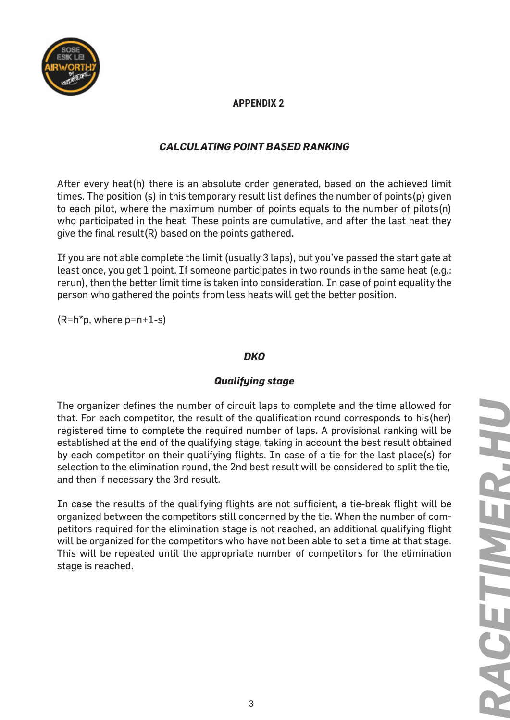

# **APPENDIX 2**

# *CALCULATING POINT BASED RANKING*

After every heat(h) there is an absolute order generated, based on the achieved limit times. The position (s) in this temporary result list defines the number of points(p) given to each pilot, where the maximum number of points equals to the number of pilots(n) who participated in the heat. These points are cumulative, and after the last heat they give the final result(R) based on the points gathered.

If you are not able complete the limit (usually 3 laps), but you've passed the start gate at least once, you get 1 point. If someone participates in two rounds in the same heat (e.g.: rerun), then the better limit time is taken into consideration. In case of point equality the person who gathered the points from less heats will get the better position.

 $(R=h*p,$  where  $p=n+1-s$ )

### *DKO*

### *Qualifying stage*

The organizer defines the number of circuit laps to complete and the time allowed for that. For each competitor, the result of the qualification round corresponds to his(her) registered time to complete the required number of laps. A provisional ranking will be established at the end of the qualifying stage, taking in account the best result obtained by each competitor on their qualifying flights. In case of a tie for the last place(s) for selection to the elimination round, the 2nd best result will be considered to split the tie, and then if necessary the 3rd result.

In case the results of the qualifying flights are not sufficient, a tie-break flight will be organized between the competitors still concerned by the tie. When the number of competitors required for the elimination stage is not reached, an additional qualifying flight will be organized for the competitors who have not been able to set a time at that stage. This will be repeated until the appropriate number of competitors for the elimination stage is reached.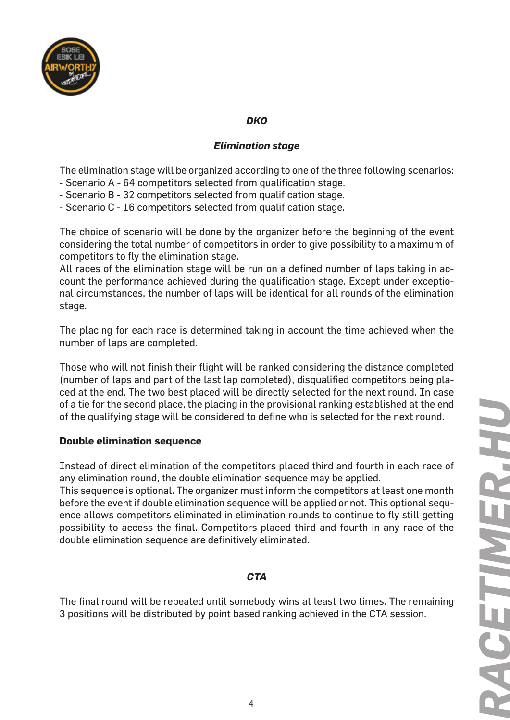

# *DKO*

# *Elimination stage*

The elimination stage will be organized according to one of the three following scenarios:

- Scenario A 64 competitors selected from qualification stage.
- Scenario B 32 competitors selected from qualification stage.
- Scenario C 16 competitors selected from qualification stage.

The choice of scenario will be done by the organizer before the beginning of the event considering the total number of competitors in order to give possibility to a maximum of competitors to fly the elimination stage.

All races of the elimination stage will be run on a defined number of laps taking in account the performance achieved during the qualification stage. Except under exceptional circumstances, the number of laps will be identical for all rounds of the elimination stage.

The placing for each race is determined taking in account the time achieved when the number of laps are completed.

Those who will not finish their flight will be ranked considering the distance completed (number of laps and part of the last lap completed), disqualified competitors being placed at the end. The two best placed will be directly selected for the next round. In case of a tie for the second place, the placing in the provisional ranking established at the end of the qualifying stage will be considered to define who is selected for the next round.

### **Double elimination sequence**

Instead of direct elimination of the competitors placed third and fourth in each race of any elimination round, the double elimination sequence may be applied.

This sequence is optional. The organizer must inform the competitors at least one month before the event if double elimination sequence will be applied or not. This optional sequence allows competitors eliminated in elimination rounds to continue to fly still getting possibility to access the final. Competitors placed third and fourth in any race of the double elimination sequence are definitively eliminated.

### *CTA*

The final round will be repeated until somebody wins at least two times. The remaining 3 positions will be distributed by point based ranking achieved in the CTA session.